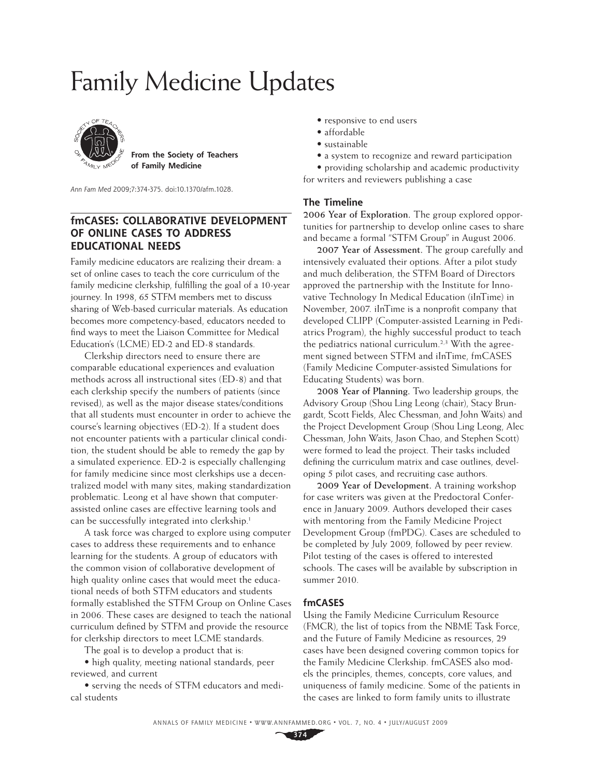# Family Medicine Updates



 **of Family Medicine From the Society of Teachers** 

Ann Fam Med 2009;7:374-375. doi:10.1370/afm.1028.

## **fmCASES: COLLABORATIVE DEVELOPMENT OF ONLINE CASES TO ADDRESS EDUCATIONAL NEEDS**

Family medicine educators are realizing their dream: a set of online cases to teach the core curriculum of the family medicine clerkship, fulfilling the goal of a 10-year journey. In 1998, 65 STFM members met to discuss sharing of Web-based curricular materials. As education becomes more competency-based, educators needed to find ways to meet the Liaison Committee for Medical Education's (LCME) ED-2 and ED-8 standards.

Clerkship directors need to ensure there are comparable educational experiences and evaluation methods across all instructional sites (ED-8) and that each clerkship specify the numbers of patients (since revised), as well as the major disease states/conditions that all students must encounter in order to achieve the course's learning objectives (ED-2). If a student does not encounter patients with a particular clinical condition, the student should be able to remedy the gap by a simulated experience. ED-2 is especially challenging for family medicine since most clerkships use a decentralized model with many sites, making standardization problematic. Leong et al have shown that computerassisted online cases are effective learning tools and can be successfully integrated into clerkship.1

A task force was charged to explore using computer cases to address these requirements and to enhance learning for the students. A group of educators with the common vision of collaborative development of high quality online cases that would meet the educational needs of both STFM educators and students formally established the STFM Group on Online Cases in 2006. These cases are designed to teach the national curriculum defined by STFM and provide the resource for clerkship directors to meet LCME standards.

The goal is to develop a product that is:

• high quality, meeting national standards, peer reviewed, and current

• serving the needs of STFM educators and medical students

- responsive to end users
- affordable
- sustainable
- a system to recognize and reward participation

• providing scholarship and academic productivity for writers and reviewers publishing a case

#### **The Timeline**

**2006 Year of Exploration.** The group explored opportunities for partnership to develop online cases to share and became a formal "STFM Group" in August 2006.

**2007 Year of Assessment.** The group carefully and intensively evaluated their options. After a pilot study and much deliberation, the STFM Board of Directors approved the partnership with the Institute for Innovative Technology In Medical Education (iInTime) in November, 2007. iInTime is a nonprofit company that developed CLIPP (Computer-assisted Learning in Pediatrics Program), the highly successful product to teach the pediatrics national curriculum.<sup>2,3</sup> With the agreement signed between STFM and iInTime, fmCASES (Family Medicine Computer-assisted Simulations for Educating Students) was born.

**2008 Year of Planning.** Two leadership groups, the Advisory Group (Shou Ling Leong (chair), Stacy Brungardt, Scott Fields, Alec Chessman, and John Waits) and the Project Development Group (Shou Ling Leong, Alec Chessman, John Waits, Jason Chao, and Stephen Scott) were formed to lead the project. Their tasks included defining the curriculum matrix and case outlines, developing 5 pilot cases, and recruiting case authors.

**2009 Year of Development.** A training workshop for case writers was given at the Predoctoral Conference in January 2009. Authors developed their cases with mentoring from the Family Medicine Project Development Group (fmPDG). Cases are scheduled to be completed by July 2009, followed by peer review. Pilot testing of the cases is offered to interested schools. The cases will be available by subscription in summer 2010.

#### **fmCASES**

Using the Family Medicine Curriculum Resource (FMCR), the list of topics from the NBME Task Force, and the Future of Family Medicine as resources, 29 cases have been designed covering common topics for the Family Medicine Clerkship. fmCASES also models the principles, themes, concepts, core values, and uniqueness of family medicine. Some of the patients in the cases are linked to form family units to illustrate